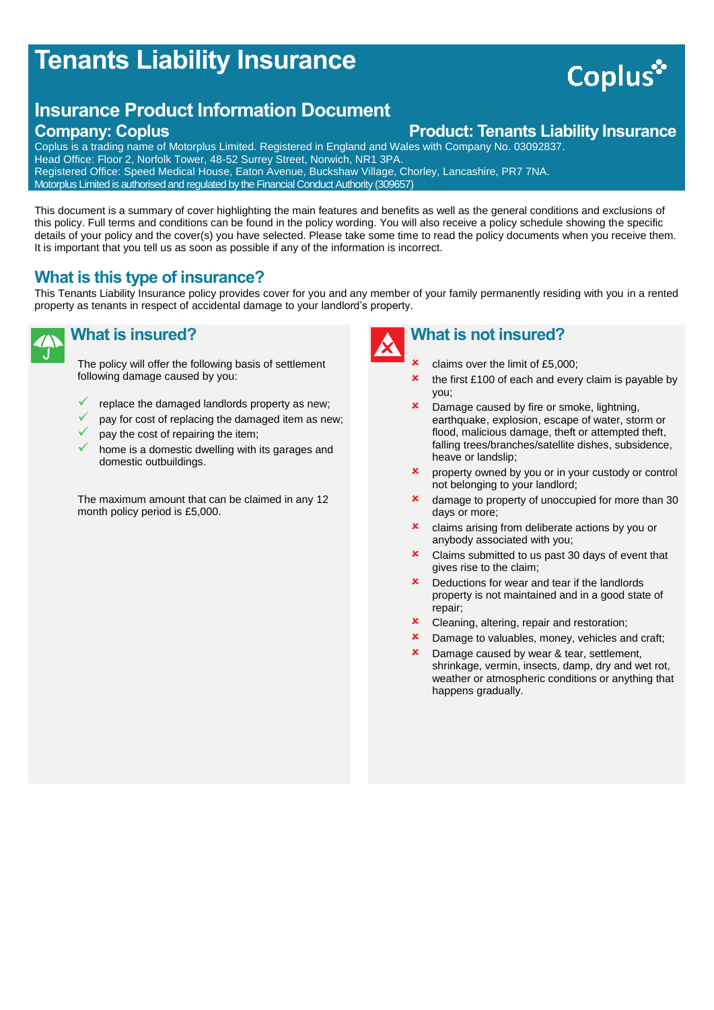## **Tenants Liability Insurance**

# Coplus<sup>\*</sup>

### **Insurance Product Information Document**

### **Company: Coplus Company: Coplus Product: Tenants Liability Insurance**

Coplus is a trading name of Motorplus Limited. Registered in England and Wales with Company No. 03092837. Head Office: Floor 2, Norfolk Tower, 48-52 Surrey Street, Norwich, NR1 3PA. Registered Office: Speed Medical House, Eaton Avenue, Buckshaw Village, Chorley, Lancashire, PR7 7NA. Motorplus Limited is authorised and regulated by the Financial Conduct Authority (309657)

This document is a summary of cover highlighting the main features and benefits as well as the general conditions and exclusions of this policy. Full terms and conditions can be found in the policy wording. You will also receive a policy schedule showing the specific details of your policy and the cover(s) you have selected. Please take some time to read the policy documents when you receive them. It is important that you tell us as soon as possible if any of the information is incorrect.

#### **What is this type of insurance?**

This Tenants Liability Insurance policy provides cover for you and any member of your family permanently residing with you in a rented property as tenants in respect of accidental damage to your landlord's property.

#### **What is insured?**

The policy will offer the following basis of settlement following damage caused by you:

- replace the damaged landlords property as new;
- pay for cost of replacing the damaged item as new;
- pay the cost of repairing the item;
- home is a domestic dwelling with its garages and domestic outbuildings.

The maximum amount that can be claimed in any 12 month policy period is £5,000.



#### **What is not insured?**

- claims over the limit of £5,000;
- $\star$  the first £100 of each and every claim is payable by you;
- **x** Damage caused by fire or smoke, lightning, earthquake, explosion, escape of water, storm or flood, malicious damage, theft or attempted theft, falling trees/branches/satellite dishes, subsidence, heave or landslip;
- **x** property owned by you or in your custody or control not belonging to your landlord;
- **x** damage to property of unoccupied for more than 30 days or more;
- **x** claims arising from deliberate actions by you or anybody associated with you;
- **x** Claims submitted to us past 30 days of event that gives rise to the claim;
- **x** Deductions for wear and tear if the landlords property is not maintained and in a good state of repair;
- **x** Cleaning, altering, repair and restoration;
- **x** Damage to valuables, money, vehicles and craft;
- **x** Damage caused by wear & tear, settlement, shrinkage, vermin, insects, damp, dry and wet rot, weather or atmospheric conditions or anything that happens gradually.